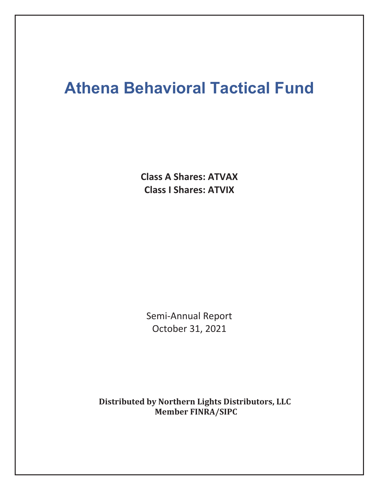# **Athena Behavioral Tactical Fund**

**Class A Shares: ATVAX Class I Shares: ATVIX**

Semi-Annual Report October 31, 2021

**Distributed by Northern Lights Distributors, LLC Member FINRA/SIPC**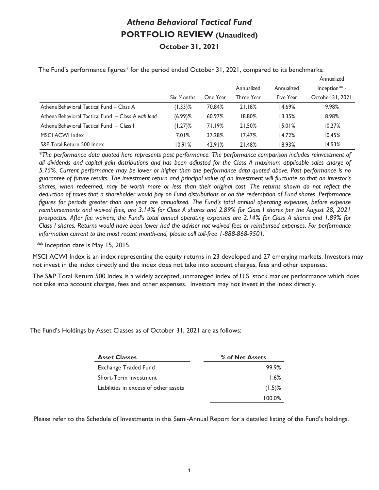### *Athena Behavioral Tactical Fund*  **PORTFOLIO REVIEW (Unaudited) October 31, 2021**

|                                                     |            |          |            |            | Annualized                |
|-----------------------------------------------------|------------|----------|------------|------------|---------------------------|
|                                                     |            |          | Annualized | Annualized | Inception <sup>**</sup> - |
|                                                     | Six Months | One Year | Three Year | Five Year  | October 31, 2021          |
| Athena Behavioral Tactical Fund - Class A           | $(1.33)\%$ | 70.84%   | 21.18%     | 14.69%     | 9.98%                     |
| Athena Behavioral Tactical Fund - Class A with load | $(6.99)$ % | 60.97%   | 18.80%     | 13.35%     | 8.98%                     |
| Athena Behavioral Tactical Fund - Class I           | $(1.27)\%$ | 71.19%   | 21.50%     | 15.01%     | 10.27%                    |
| MSCI ACWI Index                                     | 7.01%      | 37.28%   | 17.47%     | 14.72%     | 10.45%                    |
| S&P Total Return 500 Index                          | 10.91%     | 42.91%   | 21.48%     | 18.93%     | 14.93%                    |

The Fund's performance figures\* for the period ended October 31, 2021, compared to its benchmarks:

 *\*The performance data quoted here represents past performance. The performance comparison includes reinvestment of all dividends and capital gain distributions and has been adjusted for the Class A maximum applicable sales charge of 5.75%. Current performance may be lower or higher than the performance data quoted above. Past performance is no guarantee of future results. The investment return and principal value of an investment will fluctuate so that an investor's shares, when redeemed, may be worth more or less than their original cost. The returns shown do not reflect the deduction of taxes that a shareholder would pay on Fund distributions or on the redemption of Fund shares. Performance figures for periods greater than one year are annualized. The Fund's total annual operating expenses, before expense reimbursements and waived fees, are 3.14% for Class A shares and 2.89% for Class I shares per the August 28, 2021 prospectus. After fee waivers, the Fund's total annual operating expenses are 2.14% for Class A shares and 1.89% for Class I shares. Returns would have been lower had the adviser not waived fees or reimbursed expenses. For performance information current to the most recent month-end, please call toll-free 1-888-868-9501.* 

\*\* Inception date is May 15, 2015.

MSCI ACWI Index is an index representing the equity returns in 23 developed and 27 emerging markets. Investors may not invest in the index directly and the index does not take into account charges, fees and other expenses.

The S&P Total Return 500 Index is a widely accepted, unmanaged index of U.S. stock market performance which does not take into account charges, fees and other expenses. Investors may not invest in the index directly.

The Fund's Holdings by Asset Classes as of October 31, 2021 are as follows:

| <b>Asset Classes</b>                  | % of Net Assets |
|---------------------------------------|-----------------|
| Exchange Traded Fund                  | 99.9%           |
| Short-Term Investment                 | 1.6%            |
| Liabilities in excess of other assets | $(1.5)$ %       |
|                                       | 100.0%          |

Please refer to the Schedule of Investments in this Semi-Annual Report for a detailed listing of the Fund's holdings.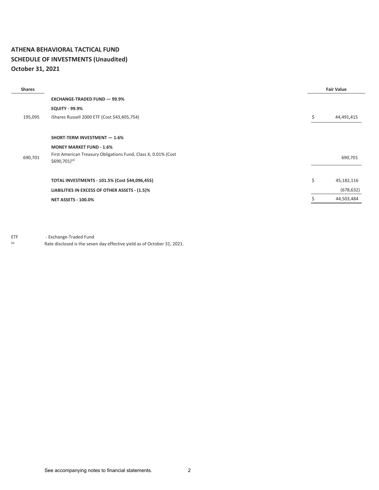#### **ATHENA BEHAVIORAL TACTICAL FUND SCHEDULE OF INVESTMENTS (Unaudited) October 31, 2021**

| <b>Shares</b> |                                                                | <b>Fair Value</b> |
|---------------|----------------------------------------------------------------|-------------------|
|               | <b>EXCHANGE-TRADED FUND - 99.9%</b>                            |                   |
|               | <b>EQUITY - 99.9%</b>                                          |                   |
| 195,095       | iShares Russell 2000 ETF (Cost \$43,405,754)                   | \$<br>44,491,415  |
|               |                                                                |                   |
|               | SHORT-TERM INVESTMENT - 1.6%                                   |                   |
|               | <b>MONEY MARKET FUND - 1.6%</b>                                |                   |
| 690,701       | First American Treasury Obligations Fund, Class X, 0.01% (Cost | 690,701           |
|               | $$690,701$ <sup>(a)</sup>                                      |                   |
|               |                                                                |                   |
|               | TOTAL INVESTMENTS - 101.5% (Cost \$44,096,455)                 | \$<br>45,182,116  |
|               | LIABILITIES IN EXCESS OF OTHER ASSETS - (1.5)%                 | (678, 632)        |
|               | <b>NET ASSETS - 100.0%</b>                                     | 44,503,484        |

ETF - Exchange-Traded Fund

(a) Rate disclosed is the seven day effective yield as of October 31, 2021.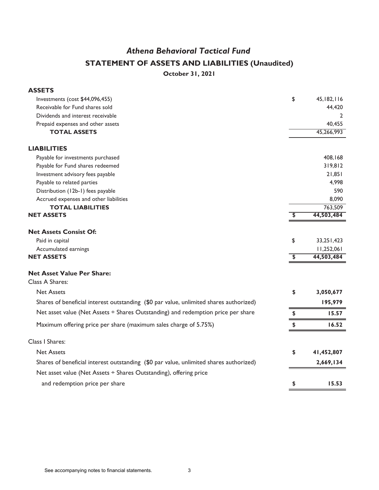# *Athena Behavioral Tactical Fund* **STATEMENT OF ASSETS AND LIABILITIES (Unaudited)**

**October 31, 2021**

| <b>ASSETS</b>                                                                          |                         |              |
|----------------------------------------------------------------------------------------|-------------------------|--------------|
| Investments (cost \$44,096,455)                                                        | \$                      | 45, 182, 116 |
| Receivable for Fund shares sold                                                        |                         | 44,420       |
| Dividends and interest receivable                                                      |                         | 2            |
| Prepaid expenses and other assets                                                      |                         | 40,455       |
| <b>TOTAL ASSETS</b>                                                                    |                         | 45,266,993   |
| <b>LIABILITIES</b>                                                                     |                         |              |
| Payable for investments purchased                                                      |                         | 408,168      |
| Payable for Fund shares redeemed                                                       |                         | 319,812      |
| Investment advisory fees payable                                                       |                         | 21,851       |
| Payable to related parties                                                             |                         | 4,998        |
| Distribution (12b-1) fees payable                                                      |                         | 590          |
| Accrued expenses and other liabilities                                                 |                         | 8,090        |
| <b>TOTAL LIABILITIES</b>                                                               |                         | 763,509      |
| <b>NET ASSETS</b>                                                                      | \$                      | 44,503,484   |
| <b>Net Assets Consist Of:</b>                                                          |                         |              |
| Paid in capital                                                                        | \$                      | 33,251,423   |
| Accumulated earnings                                                                   |                         | 11,252,061   |
| <b>NET ASSETS</b>                                                                      | $\overline{\mathbf{3}}$ | 44,503,484   |
| <b>Net Asset Value Per Share:</b>                                                      |                         |              |
| Class A Shares:                                                                        |                         |              |
| <b>Net Assets</b>                                                                      | \$                      | 3,050,677    |
| Shares of beneficial interest outstanding (\$0 par value, unlimited shares authorized) |                         | 195,979      |
| Net asset value (Net Assets ÷ Shares Outstanding) and redemption price per share       | \$                      | 15.57        |
| Maximum offering price per share (maximum sales charge of 5.75%)                       | \$                      | 16.52        |
| Class I Shares:                                                                        |                         |              |
| <b>Net Assets</b>                                                                      | \$                      | 41,452,807   |
| Shares of beneficial interest outstanding (\$0 par value, unlimited shares authorized) |                         | 2,669,134    |
| Net asset value (Net Assets ÷ Shares Outstanding), offering price                      |                         |              |
| and redemption price per share                                                         | \$                      | 15.53        |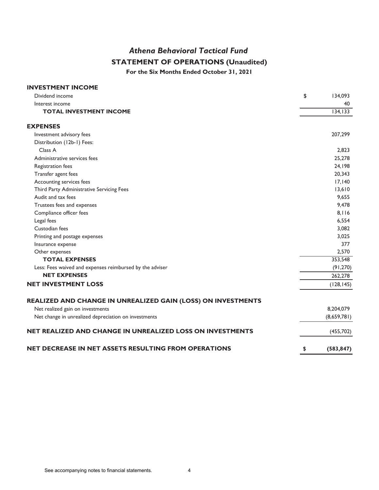### *Athena Behavioral Tactical Fund* **STATEMENT OF OPERATIONS (Unaudited)**

**For the Six Months Ended October 31, 2021**

| <b>INVESTMENT INCOME</b>                                     |                  |
|--------------------------------------------------------------|------------------|
| Dividend income                                              | \$<br>134,093    |
| Interest income                                              | 40               |
| <b>TOTAL INVESTMENT INCOME</b>                               | 134, 133         |
| <b>EXPENSES</b>                                              |                  |
| Investment advisory fees                                     | 207,299          |
| Distribution (12b-1) Fees:                                   |                  |
| Class A                                                      | 2,823            |
| Administrative services fees                                 | 25,278           |
| Registration fees                                            | 24,198           |
| Transfer agent fees                                          | 20,343           |
| Accounting services fees                                     | 17,140           |
| Third Party Administrative Servicing Fees                    | 13,610           |
| Audit and tax fees                                           | 9,655            |
| Trustees fees and expenses                                   | 9,478            |
| Compliance officer fees                                      | 8.116            |
| Legal fees                                                   | 6,554            |
| Custodian fees                                               | 3,082            |
| Printing and postage expenses                                | 3,025            |
| Insurance expense                                            | 377              |
| Other expenses                                               | 2,570            |
| <b>TOTAL EXPENSES</b>                                        | 353,548          |
| Less: Fees waived and expenses reimbursed by the adviser     | (91, 270)        |
| <b>NET EXPENSES</b>                                          | 262,278          |
| <b>NET INVESTMENT LOSS</b>                                   | (128, 145)       |
| REALIZED AND CHANGE IN UNREALIZED GAIN (LOSS) ON INVESTMENTS |                  |
| Net realized gain on investments                             | 8,204,079        |
| Net change in unrealized depreciation on investments         | (8,659,781)      |
| NET REALIZED AND CHANGE IN UNREALIZED LOSS ON INVESTMENTS    | (455, 702)       |
| NET DECREASE IN NET ASSETS RESULTING FROM OPERATIONS         | \$<br>(583, 847) |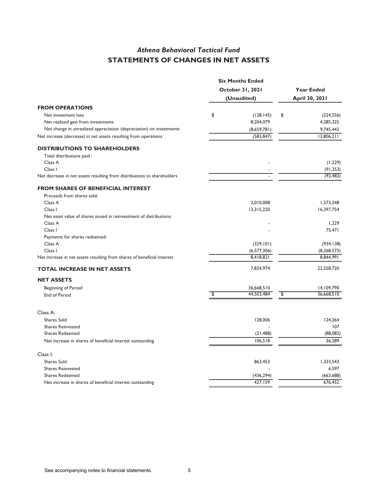### *Athena Behavioral Tactical Fund*  **STATEMENTS OF CHANGES IN NET ASSETS**

|                                                                         |                  | <b>Six Months Ended</b> |                                    |                   |  |
|-------------------------------------------------------------------------|------------------|-------------------------|------------------------------------|-------------------|--|
|                                                                         | October 31, 2021 |                         |                                    | <b>Year Ended</b> |  |
|                                                                         |                  | (Unaudited)             |                                    | April 30, 2021    |  |
| <b>FROM OPERATIONS</b>                                                  |                  |                         |                                    |                   |  |
| Net investment loss                                                     | \$               | (128, 145)              | \$                                 | (224, 556)        |  |
| Net realized gain from investments                                      |                  | 8,204,079               |                                    | 4,285,325         |  |
| Net change in unrealized appreciation (depreciation) on investments     |                  | (8,659,781)             |                                    | 9,745,442         |  |
| Net increase (decrease) in net assets resulting from operations         |                  | (583, 847)              |                                    | 13,806,211        |  |
| <b>DISTRIBUTIONS TO SHAREHOLDERS</b>                                    |                  |                         |                                    |                   |  |
| Total distributions paid :                                              |                  |                         |                                    |                   |  |
| Class A                                                                 |                  |                         |                                    | (1,229)           |  |
| Class I                                                                 |                  |                         |                                    | (91, 253)         |  |
| Net decrease in net assets resulting from distributions to shareholders |                  |                         |                                    | (92, 482)         |  |
| <b>FROM SHARES OF BENEFICIAL INTEREST</b>                               |                  |                         |                                    |                   |  |
| Proceeds from shares sold:                                              |                  |                         |                                    |                   |  |
| Class A                                                                 |                  | 2,010,008               |                                    | 1,573,248         |  |
| Class I                                                                 |                  | 13,315,220              |                                    | 16,397,754        |  |
| Net asset value of shares issued in reinvestment of distributions:      |                  |                         |                                    |                   |  |
| Class A                                                                 |                  |                         |                                    | 1,229             |  |
| Class I                                                                 |                  |                         |                                    | 75,471            |  |
| Payments for shares redeemed:                                           |                  |                         |                                    |                   |  |
| Class A                                                                 |                  | (329, 101)              |                                    | (934, 138)        |  |
| Class I                                                                 |                  | (6, 577, 306)           |                                    | (8, 268, 573)     |  |
| Net increase in net assets resulting from shares of beneficial interest |                  | 8,418,821               |                                    | 8,844,991         |  |
| <b>TOTAL INCREASE IN NET ASSETS</b>                                     |                  | 7,834,974               |                                    | 22,558,720        |  |
| <b>NET ASSETS</b>                                                       |                  |                         |                                    |                   |  |
| Beginning of Period                                                     |                  | 36,668,510              |                                    | 14,109,790        |  |
| End of Period                                                           | \$               | 44,503,484              | $\overline{\boldsymbol{\epsilon}}$ | 36,668,510        |  |
| Class A:                                                                |                  |                         |                                    |                   |  |
| <b>Shares Sold</b>                                                      |                  |                         |                                    | 124,264           |  |
| <b>Shares Reinvested</b>                                                |                  | 128,006                 |                                    | 107               |  |
| <b>Shares Redeemed</b>                                                  |                  | (21, 488)               |                                    | (88,082)          |  |
|                                                                         |                  | 106,518                 |                                    | 36,289            |  |
| Net increase in shares of beneficial interest outstanding               |                  |                         |                                    |                   |  |
| Class I:                                                                |                  |                         |                                    |                   |  |
| <b>Shares Sold</b>                                                      |                  | 863,453                 |                                    | 1,333,543         |  |
| <b>Shares Reinvested</b>                                                |                  |                         |                                    | 6,597             |  |
| <b>Shares Redeemed</b>                                                  |                  | (436, 294)              |                                    | (663, 688)        |  |
| Net increase in shares of beneficial interest outstanding               |                  | 427,159                 |                                    | 676,452           |  |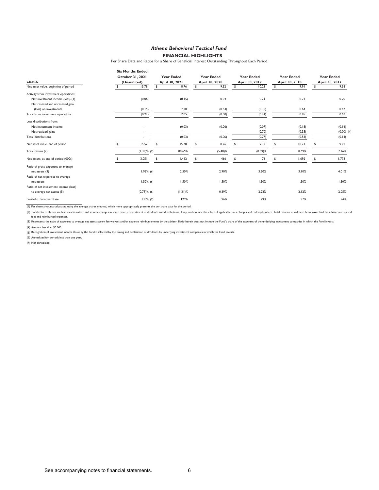#### *Athena Behavioral Tactical Fund*  **FINANCIAL HIGHLIGHTS**

Per Share Data and Ratios for a Share of Beneficial Interest Outstanding Throughout Each Period

|                                       |     | <b>Six Months Ended</b>  |                |                          |              |                   |                   |                |                   |                |                   |
|---------------------------------------|-----|--------------------------|----------------|--------------------------|--------------|-------------------|-------------------|----------------|-------------------|----------------|-------------------|
|                                       |     | October 31, 2021         |                | <b>Year Ended</b>        |              | <b>Year Ended</b> | <b>Year Ended</b> |                | <b>Year Ended</b> |                | <b>Year Ended</b> |
| <b>Class A</b>                        |     | (Unaudited)              | April 30, 2021 |                          |              | April 30, 2020    | April 30, 2019    | April 30, 2018 |                   | April 30, 2017 |                   |
| Net asset value, beginning of period  | \$. | 15.78                    | \$.            | 8.76                     | $\mathbf{s}$ | 9.32              | \$<br>10.23       | \$.            | 9.91              | \$             | 9.38              |
| Activity from investment operations:  |     |                          |                |                          |              |                   |                   |                |                   |                |                   |
| Net investment income (loss) (1)      |     | (0.06)                   |                | (0.15)                   |              | 0.04              | 0.21              |                | 0.21              |                | 0.20              |
| Net realized and unrealized gain      |     |                          |                |                          |              |                   |                   |                |                   |                |                   |
| (loss) on investments                 |     | (0.15)                   |                | 7.20                     |              | (0.54)            | (0.35)            |                | 0.64              |                | 0.47              |
| Total from investment operations      |     | (0.21)                   |                | 7.05                     |              | (0.50)            | (0.14)            |                | 0.85              |                | 0.67              |
| Less distributions from:              |     |                          |                |                          |              |                   |                   |                |                   |                |                   |
| Net investment income                 |     | ٠                        |                | (0.03)                   |              | (0.06)            | (0.07)            |                | (0.18)            |                | (0.14)            |
| Net realized gains                    |     |                          |                | $\overline{\phantom{a}}$ |              |                   | (0.70)            |                | (0.35)            |                | $(0.00)$ $(4)$    |
| Total distributions                   |     | $\overline{\phantom{a}}$ |                | (0.03)                   |              | (0.06)            | (0.77)            |                | (0.53)            |                | (0.14)            |
| Net asset value, end of period        |     | 15.57                    |                | 15.78                    |              | 8.76              | 9.32              |                | 10.23             |                | 9.91              |
| Total return (2)                      |     | $(1.33)$ % (7)           |                | 80.65%                   |              | $(5.48)\%$        | $(0.59)$ %        |                | 8.69%             |                | 7.16%             |
| Net assets, at end of period (000s)   |     | 3,051                    |                | 1,412                    | \$           | 466               | 71                | \$             | 1,692             |                | 1,773             |
| Ratio of gross expenses to average    |     |                          |                |                          |              |                   |                   |                |                   |                |                   |
| net assets (3)                        |     | $1.93\%$ (6)             |                | 2.50%                    |              | 2.90%             | 3.20%             |                | 3.10%             |                | 4.01%             |
| Ratio of net expenses to average      |     |                          |                |                          |              |                   |                   |                |                   |                |                   |
| net assets                            |     | $1.50\%$ (6)             |                | 1.50%                    |              | 1.50%             | 1.50%             |                | 1.50%             |                | 1.50%             |
| Ratio of net investment income (loss) |     |                          |                |                          |              |                   |                   |                |                   |                |                   |
| to average net assets (5)             |     | $(0.79)$ % (6)           |                | $(1.31)\%$               |              | 0.39%             | 2.22%             |                | 2.12%             |                | 2.05%             |
| Portfolio Turnover Rate               |     | 133% (7)                 |                | 129%                     |              | 96%               | 129%              |                | 97%               |                | 94%               |

(1) Per share amounts calculated using the average shares method, which more appropriately presents the per share data for the period.

(2) Total returns shown are historical in nature and assume changes in share price, reinvestment of dividends and distributions, if any, and exclude the effect of applicable sales charges and redemption fees. Total returns fees and reimbursed expenses.

(3) Represents the ratio of expenses to average net assets absent fee waivers and/or expense reimbursements by the adviser. Ratio herein does not include the Fund's share of the expenses of the underlying investment compan

(4) Amount less than \$0.005.

(5) Recognition of investment income (loss) by the Fund is affected by the timing and declaration of dividends by underlying investment companies in which the Fund invests.

(6) Annualized for periods less than one year.

(7) Not annualized.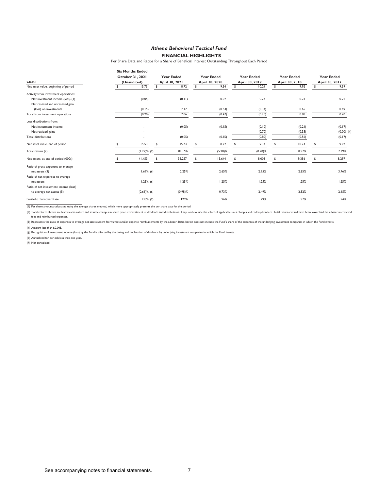#### *Athena Behavioral Tactical Fund*  **FINANCIAL HIGHLIGHTS**

Per Share Data and Ratios for a Share of Beneficial Interest Outstanding Throughout Each Period

|                                       | <b>Six Months Ended</b> |                |                   |                   |                   |                |                   |                |                   |
|---------------------------------------|-------------------------|----------------|-------------------|-------------------|-------------------|----------------|-------------------|----------------|-------------------|
|                                       | October 31, 2021        |                | <b>Year Ended</b> | <b>Year Ended</b> | <b>Year Ended</b> |                | <b>Year Ended</b> |                | <b>Year Ended</b> |
| Class I                               | (Unaudited)             | April 30, 2021 |                   | April 30, 2020    | April 30, 2019    | April 30, 2018 |                   | April 30, 2017 |                   |
| Net asset value, beginning of period  | 15.73                   | \$             | 8.72              | \$<br>9.34        | \$<br>10.24       | \$             | 9.92              |                | 9.39              |
| Activity from investment operations:  |                         |                |                   |                   |                   |                |                   |                |                   |
| Net investment income (loss) (1)      | (0.05)                  |                | (0.11)            | 0.07              | 0.24              |                | 0.23              |                | 0.21              |
| Net realized and unrealized gain      |                         |                |                   |                   |                   |                |                   |                |                   |
| (loss) on investments                 | (0.15)                  |                | 7.17              | (0.54)            | (0.34)            |                | 0.65              |                | 0.49              |
| Total from investment operations      | (0.20)                  |                | 7.06              | (0.47)            | (0.10)            |                | 0.88              |                | 0.70              |
| Less distributions from:              |                         |                |                   |                   |                   |                |                   |                |                   |
| Net investment income                 |                         |                | (0.05)            | (0.15)            | (0.10)            |                | (0.21)            |                | (0.17)            |
| Net realized gains                    |                         |                | ٠                 | $\sim$            | (0.70)            |                | (0.35)            |                | $(0.00)$ $(4)$    |
| <b>Total distributions</b>            | ٠                       |                | (0.05)            | (0.15)            | (0.80)            |                | (0.56)            |                | (0.17)            |
| Net asset value, end of period        | 15.53                   |                | 15.73             | \$<br>8.72        | 9.34              | \$             | 10.24             |                | 9.92              |
| Total return (2)                      | $(1.27)\%$ (7)          |                | 81.15%            | $(5.20)$ %        | $(0.20)$ %        |                | 8.97%             |                | 7.39%             |
| Net assets, at end of period (000s)   | 41,453                  | \$             | 35,257            | \$<br>13,644      | \$<br>8,003       | \$             | 9,356             |                | 8,297             |
| Ratio of gross expenses to average    |                         |                |                   |                   |                   |                |                   |                |                   |
| net assets (3)                        | 1.69%(6)                |                | 2.25%             | 2.65%             | 2.95%             |                | 2.85%             |                | 3.76%             |
| Ratio of net expenses to average      |                         |                |                   |                   |                   |                |                   |                |                   |
| net assets                            | $1.25\%$ (6)            |                | 1.25%             | 1.25%             | 1.25%             |                | 1.25%             |                | 1.25%             |
| Ratio of net investment income (loss) |                         |                |                   |                   |                   |                |                   |                |                   |
| to average net assets (5)             | $(0.61)\%$ (6)          |                | $(0.98)$ %        | 0.73%             | 2.49%             |                | 2.32%             |                | 2.15%             |
| Portfolio Turnover Rate               | $133\%$ (7)             |                | 129%              | 96%               | 129%              |                | 97%               |                | 94%               |

(1) Per share amounts calculated using the average shares method, which more appropriately presents the per share data for the period.

(2) Total returns shown are historical in nature and assume changes in share price, reinvestment of dividends and distributions, if any, and exclude the effect of applicable sales charges and redemption fees. Total returns fees and reimbursed expenses.

(3) Represents the ratio of expenses to average net assets absent fee waivers and/or expense reimbursements by the adviser. Ratio herein does not include the Fund's share of the expenses of the underlying investment compan

(4) Amount less than \$0.005.

(5) Recognition of investment income (loss) by the Fund is affected by the timing and declaration of dividends by underlying investment companies in which the Fund invests.

(6) Annualized for periods less than one year.

(7) Not annualized.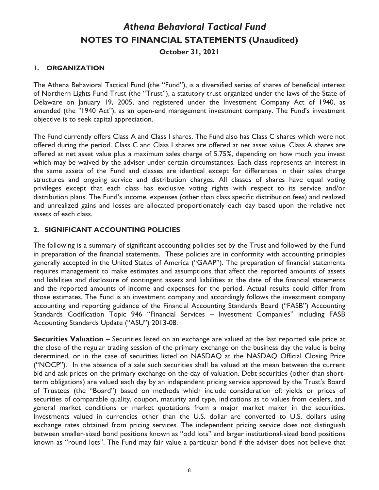#### **1. ORGANIZATION**

The Athena Behavioral Tactical Fund (the "Fund"), is a diversified series of shares of beneficial interest of Northern Lights Fund Trust (the "Trust"), a statutory trust organized under the laws of the State of Delaware on January 19, 2005, and registered under the Investment Company Act of 1940, as amended (the "1940 Act"), as an open-end management investment company. The Fund's investment objective is to seek capital appreciation.

The Fund currently offers Class A and Class I shares. The Fund also has Class C shares which were not offered during the period. Class C and Class I shares are offered at net asset value. Class A shares are offered at net asset value plus a maximum sales charge of 5.75%, depending on how much you invest which may be waived by the adviser under certain circumstances. Each class represents an interest in the same assets of the Fund and classes are identical except for differences in their sales charge structures and ongoing service and distribution charges. All classes of shares have equal voting privileges except that each class has exclusive voting rights with respect to its service and/or distribution plans. The Fund's income, expenses (other than class specific distribution fees) and realized and unrealized gains and losses are allocated proportionately each day based upon the relative net assets of each class.

#### **2. SIGNIFICANT ACCOUNTING POLICIES**

The following is a summary of significant accounting policies set by the Trust and followed by the Fund in preparation of the financial statements. These policies are in conformity with accounting principles generally accepted in the United States of America ("GAAP"). The preparation of financial statements requires management to make estimates and assumptions that affect the reported amounts of assets and liabilities and disclosure of contingent assets and liabilities at the date of the financial statements and the reported amounts of income and expenses for the period. Actual results could differ from those estimates. The Fund is an investment company and accordingly follows the investment company accounting and reporting guidance of the Financial Accounting Standards Board ("FASB") Accounting Standards Codification Topic 946 "Financial Services – Investment Companies" including FASB Accounting Standards Update ("ASU") 2013-08.

**Securities Valuation –** Securities listed on an exchange are valued at the last reported sale price at the close of the regular trading session of the primary exchange on the business day the value is being determined, or in the case of securities listed on NASDAQ at the NASDAQ Official Closing Price ("NOCP"). In the absence of a sale such securities shall be valued at the mean between the current bid and ask prices on the primary exchange on the day of valuation. Debt securities (other than shortterm obligations) are valued each day by an independent pricing service approved by the Trust's Board of Trustees (the "Board") based on methods which include consideration of: yields or prices of securities of comparable quality, coupon, maturity and type, indications as to values from dealers, and general market conditions or market quotations from a major market maker in the securities. Investments valued in currencies other than the U.S. dollar are converted to U.S. dollars using exchange rates obtained from pricing services. The independent pricing service does not distinguish between smaller-sized bond positions known as "odd lots" and larger institutional-sized bond positions known as "round lots". The Fund may fair value a particular bond if the adviser does not believe that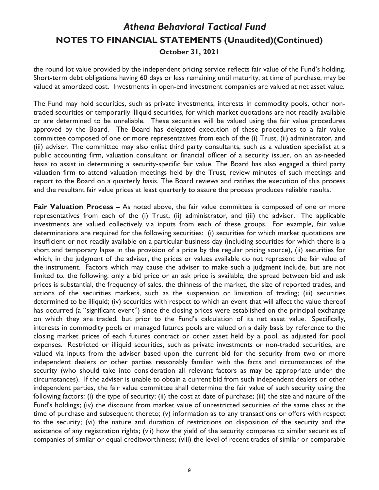the round lot value provided by the independent pricing service reflects fair value of the Fund's holding. Short-term debt obligations having 60 days or less remaining until maturity, at time of purchase, may be valued at amortized cost. Investments in open-end investment companies are valued at net asset value.

The Fund may hold securities, such as private investments, interests in commodity pools, other nontraded securities or temporarily illiquid securities, for which market quotations are not readily available or are determined to be unreliable. These securities will be valued using the fair value procedures approved by the Board. The Board has delegated execution of these procedures to a fair value committee composed of one or more representatives from each of the (i) Trust, (ii) administrator, and (iii) adviser. The committee may also enlist third party consultants, such as a valuation specialist at a public accounting firm, valuation consultant or financial officer of a security issuer, on an as-needed basis to assist in determining a security-specific fair value. The Board has also engaged a third party valuation firm to attend valuation meetings held by the Trust, review minutes of such meetings and report to the Board on a quarterly basis. The Board reviews and ratifies the execution of this process and the resultant fair value prices at least quarterly to assure the process produces reliable results.

**Fair Valuation Process –** As noted above, the fair value committee is composed of one or more representatives from each of the (i) Trust, (ii) administrator, and (iii) the adviser. The applicable investments are valued collectively via inputs from each of these groups. For example, fair value determinations are required for the following securities: (i) securities for which market quotations are insufficient or not readily available on a particular business day (including securities for which there is a short and temporary lapse in the provision of a price by the regular pricing source), (ii) securities for which, in the judgment of the adviser, the prices or values available do not represent the fair value of the instrument. Factors which may cause the adviser to make such a judgment include, but are not limited to, the following: only a bid price or an ask price is available, the spread between bid and ask prices is substantial, the frequency of sales, the thinness of the market, the size of reported trades, and actions of the securities markets, such as the suspension or limitation of trading; (iii) securities determined to be illiquid; (iv) securities with respect to which an event that will affect the value thereof has occurred (a "significant event") since the closing prices were established on the principal exchange on which they are traded, but prior to the Fund's calculation of its net asset value. Specifically, interests in commodity pools or managed futures pools are valued on a daily basis by reference to the closing market prices of each futures contract or other asset held by a pool, as adjusted for pool expenses. Restricted or illiquid securities, such as private investments or non-traded securities, are valued via inputs from the adviser based upon the current bid for the security from two or more independent dealers or other parties reasonably familiar with the facts and circumstances of the security (who should take into consideration all relevant factors as may be appropriate under the circumstances). If the adviser is unable to obtain a current bid from such independent dealers or other independent parties, the fair value committee shall determine the fair value of such security using the following factors: (i) the type of security; (ii) the cost at date of purchase; (iii) the size and nature of the Fund's holdings; (iv) the discount from market value of unrestricted securities of the same class at the time of purchase and subsequent thereto; (v) information as to any transactions or offers with respect to the security; (vi) the nature and duration of restrictions on disposition of the security and the existence of any registration rights; (vii) how the yield of the security compares to similar securities of companies of similar or equal creditworthiness; (viii) the level of recent trades of similar or comparable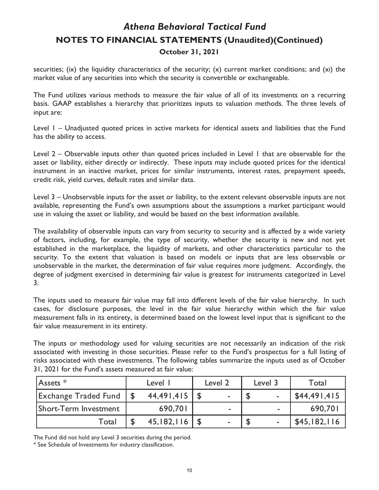securities; (ix) the liquidity characteristics of the security; (x) current market conditions; and (xi) the market value of any securities into which the security is convertible or exchangeable.

The Fund utilizes various methods to measure the fair value of all of its investments on a recurring basis. GAAP establishes a hierarchy that prioritizes inputs to valuation methods. The three levels of input are:

Level 1 – Unadjusted quoted prices in active markets for identical assets and liabilities that the Fund has the ability to access.

Level 2 – Observable inputs other than quoted prices included in Level 1 that are observable for the asset or liability, either directly or indirectly. These inputs may include quoted prices for the identical instrument in an inactive market, prices for similar instruments, interest rates, prepayment speeds, credit risk, yield curves, default rates and similar data.

Level 3 – Unobservable inputs for the asset or liability, to the extent relevant observable inputs are not available, representing the Fund's own assumptions about the assumptions a market participant would use in valuing the asset or liability, and would be based on the best information available.

The availability of observable inputs can vary from security to security and is affected by a wide variety of factors, including, for example, the type of security, whether the security is new and not yet established in the marketplace, the liquidity of markets, and other characteristics particular to the security. To the extent that valuation is based on models or inputs that are less observable or unobservable in the market, the determination of fair value requires more judgment. Accordingly, the degree of judgment exercised in determining fair value is greatest for instruments categorized in Level 3.

The inputs used to measure fair value may fall into different levels of the fair value hierarchy. In such cases, for disclosure purposes, the level in the fair value hierarchy within which the fair value measurement falls in its entirety, is determined based on the lowest level input that is significant to the fair value measurement in its entirety.

The inputs or methodology used for valuing securities are not necessarily an indication of the risk associated with investing in those securities. Please refer to the Fund's prospectus for a full listing of risks associated with these investments. The following tables summarize the inputs used as of October 31, 2021 for the Fund's assets measured at fair value:

| $ {\sf Assets}\;^*$         | Level I |            | Level 2 |                | Level 3 |   | Total        |  |
|-----------------------------|---------|------------|---------|----------------|---------|---|--------------|--|
| <b>Exchange Traded Fund</b> |         | 44,491,415 |         | ۰              |         | ۰ | \$44,491,415 |  |
| Short-Term Investment       |         | 690,701    |         | $\blacksquare$ |         | ۰ | 690,701      |  |
| Total                       |         | 45,182,116 |         |                |         | ۰ | \$45,182,116 |  |

The Fund did not hold any Level 3 securities during the period.

\* See Schedule of Investments for industry classification.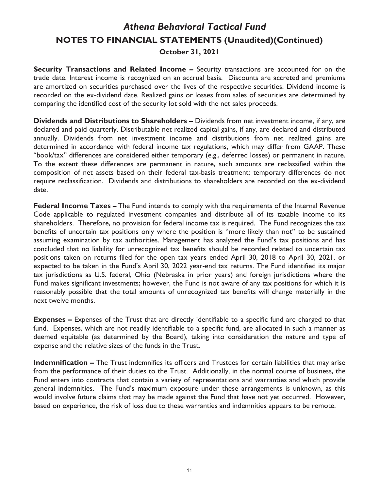**Security Transactions and Related Income –** Security transactions are accounted for on the trade date. Interest income is recognized on an accrual basis. Discounts are accreted and premiums are amortized on securities purchased over the lives of the respective securities. Dividend income is recorded on the ex-dividend date. Realized gains or losses from sales of securities are determined by comparing the identified cost of the security lot sold with the net sales proceeds.

**Dividends and Distributions to Shareholders –** Dividends from net investment income, if any, are declared and paid quarterly. Distributable net realized capital gains, if any, are declared and distributed annually. Dividends from net investment income and distributions from net realized gains are determined in accordance with federal income tax regulations, which may differ from GAAP. These "book/tax" differences are considered either temporary (e.g., deferred losses) or permanent in nature. To the extent these differences are permanent in nature, such amounts are reclassified within the composition of net assets based on their federal tax-basis treatment; temporary differences do not require reclassification. Dividends and distributions to shareholders are recorded on the ex-dividend date.

**Federal Income Taxes –** The Fund intends to comply with the requirements of the Internal Revenue Code applicable to regulated investment companies and distribute all of its taxable income to its shareholders. Therefore, no provision for federal income tax is required. The Fund recognizes the tax benefits of uncertain tax positions only where the position is "more likely than not" to be sustained assuming examination by tax authorities. Management has analyzed the Fund's tax positions and has concluded that no liability for unrecognized tax benefits should be recorded related to uncertain tax positions taken on returns filed for the open tax years ended April 30, 2018 to April 30, 2021, or expected to be taken in the Fund's April 30, 2022 year-end tax returns. The Fund identified its major tax jurisdictions as U.S. federal, Ohio (Nebraska in prior years) and foreign jurisdictions where the Fund makes significant investments; however, the Fund is not aware of any tax positions for which it is reasonably possible that the total amounts of unrecognized tax benefits will change materially in the next twelve months.

**Expenses –** Expenses of the Trust that are directly identifiable to a specific fund are charged to that fund. Expenses, which are not readily identifiable to a specific fund, are allocated in such a manner as deemed equitable (as determined by the Board), taking into consideration the nature and type of expense and the relative sizes of the funds in the Trust.

**Indemnification –** The Trust indemnifies its officers and Trustees for certain liabilities that may arise from the performance of their duties to the Trust. Additionally, in the normal course of business, the Fund enters into contracts that contain a variety of representations and warranties and which provide general indemnities. The Fund's maximum exposure under these arrangements is unknown, as this would involve future claims that may be made against the Fund that have not yet occurred. However, based on experience, the risk of loss due to these warranties and indemnities appears to be remote.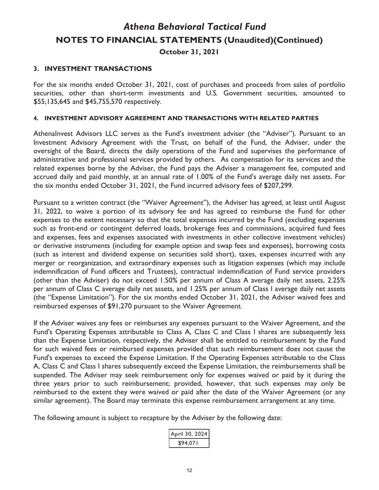#### **3. INVESTMENT TRANSACTIONS**

For the six months ended October 31, 2021, cost of purchases and proceeds from sales of portfolio securities, other than short-term investments and U.S. Government securities, amounted to \$55,135,645 and \$45,755,570 respectively.

#### **4. INVESTMENT ADVISORY AGREEMENT AND TRANSACTIONS WITH RELATED PARTIES**

AthenaInvest Advisors LLC serves as the Fund's investment adviser (the "Adviser"). Pursuant to an Investment Advisory Agreement with the Trust, on behalf of the Fund, the Adviser, under the oversight of the Board, directs the daily operations of the Fund and supervises the performance of administrative and professional services provided by others. As compensation for its services and the related expenses borne by the Adviser, the Fund pays the Adviser a management fee, computed and accrued daily and paid monthly, at an annual rate of 1.00% of the Fund's average daily net assets. For the six months ended October 31, 2021, the Fund incurred advisory fees of \$207,299.

Pursuant to a written contract (the "Waiver Agreement"), the Adviser has agreed, at least until August 31, 2022, to waive a portion of its advisory fee and has agreed to reimburse the Fund for other expenses to the extent necessary so that the total expenses incurred by the Fund (excluding expenses such as front-end or contingent deferred loads, brokerage fees and commissions, acquired fund fees and expenses, fees and expenses associated with investments in other collective investment vehicles) or derivative instruments (including for example option and swap fees and expenses), borrowing costs (such as interest and dividend expense on securities sold short), taxes, expenses incurred with any merger or reorganization, and extraordinary expenses such as litigation expenses (which may include indemnification of Fund officers and Trustees), contractual indemnification of Fund service providers (other than the Adviser) do not exceed 1.50% per annum of Class A average daily net assets, 2.25% per annum of Class C average daily net assets, and 1.25% per annum of Class I average daily net assets (the "Expense Limitation"). For the six months ended October 31, 2021, the Adviser waived fees and reimbursed expenses of \$91,270 pursuant to the Waiver Agreement.

If the Adviser waives any fees or reimburses any expenses pursuant to the Waiver Agreement, and the Fund's Operating Expenses attributable to Class A, Class C and Class I shares are subsequently less than the Expense Limitation, respectively, the Adviser shall be entitled to reimbursement by the Fund for such waived fees or reimbursed expenses provided that such reimbursement does not cause the Fund's expenses to exceed the Expense Limitation. If the Operating Expenses attributable to the Class A, Class C and Class I shares subsequently exceed the Expense Limitation, the reimbursements shall be suspended. The Adviser may seek reimbursement only for expenses waived or paid by it during the three years prior to such reimbursement; provided, however, that such expenses may only be reimbursed to the extent they were waived or paid after the date of the Waiver Agreement (or any similar agreement). The Board may terminate this expense reimbursement arrangement at any time.

The following amount is subject to recapture by the Adviser by the following date:

| pril 30, 2024 |
|---------------|
| :94.07 I      |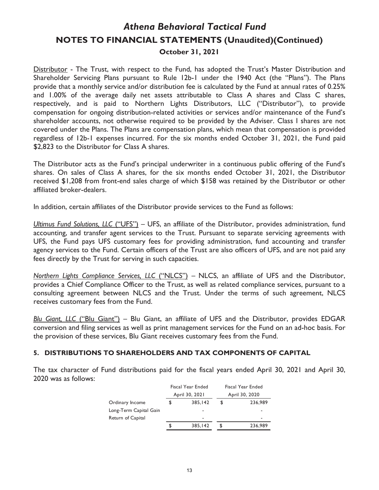Distributor - The Trust, with respect to the Fund, has adopted the Trust's Master Distribution and Shareholder Servicing Plans pursuant to Rule 12b-1 under the 1940 Act (the "Plans"). The Plans provide that a monthly service and/or distribution fee is calculated by the Fund at annual rates of 0.25% and 1.00% of the average daily net assets attributable to Class A shares and Class C shares, respectively, and is paid to Northern Lights Distributors, LLC ("Distributor"), to provide compensation for ongoing distribution-related activities or services and/or maintenance of the Fund's shareholder accounts, not otherwise required to be provided by the Adviser. Class I shares are not covered under the Plans. The Plans are compensation plans, which mean that compensation is provided regardless of 12b-1 expenses incurred. For the six months ended October 31, 2021, the Fund paid \$2,823 to the Distributor for Class A shares.

The Distributor acts as the Fund's principal underwriter in a continuous public offering of the Fund's shares. On sales of Class A shares, for the six months ended October 31, 2021, the Distributor received \$1,208 from front-end sales charge of which \$158 was retained by the Distributor or other affiliated broker-dealers.

In addition, certain affiliates of the Distributor provide services to the Fund as follows:

*Ultimus Fund Solutions, LLC* ("UFS") – UFS, an affiliate of the Distributor, provides administration, fund accounting, and transfer agent services to the Trust. Pursuant to separate servicing agreements with UFS, the Fund pays UFS customary fees for providing administration, fund accounting and transfer agency services to the Fund. Certain officers of the Trust are also officers of UFS, and are not paid any fees directly by the Trust for serving in such capacities.

*Northern Lights Compliance Services, LLC* ("NLCS") – NLCS, an affiliate of UFS and the Distributor, provides a Chief Compliance Officer to the Trust, as well as related compliance services, pursuant to a consulting agreement between NLCS and the Trust. Under the terms of such agreement, NLCS receives customary fees from the Fund.

*Blu Giant, LLC* ("Blu Giant") *–* Blu Giant, an affiliate of UFS and the Distributor, provides EDGAR conversion and filing services as well as print management services for the Fund on an ad-hoc basis. For the provision of these services, Blu Giant receives customary fees from the Fund.

#### **5. DISTRIBUTIONS TO SHAREHOLDERS AND TAX COMPONENTS OF CAPITAL**

The tax character of Fund distributions paid for the fiscal years ended April 30, 2021 and April 30, 2020 was as follows:

|                        |    | Fiscal Year Ended | Fiscal Year Ended |                |  |  |
|------------------------|----|-------------------|-------------------|----------------|--|--|
|                        |    | April 30, 2021    |                   | April 30, 2020 |  |  |
| Ordinary Income        | \$ | 385,142           | \$                | 236,989        |  |  |
| Long-Term Capital Gain |    |                   |                   | ۰              |  |  |
| Return of Capital      |    | -                 |                   | ٠              |  |  |
|                        | S  | 385,142           | S                 | 236,989        |  |  |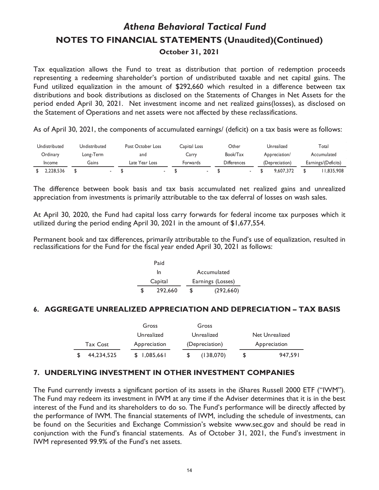Tax equalization allows the Fund to treat as distribution that portion of redemption proceeds representing a redeeming shareholder's portion of undistributed taxable and net capital gains. The Fund utilized equalization in the amount of \$292,660 which resulted in a difference between tax distributions and book distributions as disclosed on the Statements of Changes in Net Assets for the period ended April 30, 2021. Net investment income and net realized gains(losses), as disclosed on the Statement of Operations and net assets were not affected by these reclassifications.

As of April 30, 2021, the components of accumulated earnings/ (deficit) on a tax basis were as follows:

| Undistributed | Undistributed | Post October Loss | Capital Loss | Other       | Unrealized     | Total               |
|---------------|---------------|-------------------|--------------|-------------|----------------|---------------------|
| Ordinary      | Long-Term     | and               | Carry        | Book/Tax    | Appreciation/  | Accumulated         |
| Income        | Gains         | Late Year Loss    | Forwards     | Differences | (Depreciation) | Earnings/(Deficits) |
| 2.228.536     |               |                   |              |             | 9.607.372      | 1.835.908           |

The difference between book basis and tax basis accumulated net realized gains and unrealized appreciation from investments is primarily attributable to the tax deferral of losses on wash sales.

At April 30, 2020, the Fund had capital loss carry forwards for federal income tax purposes which it utilized during the period ending April 30, 2021 in the amount of \$1,677,554.

Permanent book and tax differences, primarily attributable to the Fund's use of equalization, resulted in reclassifications for the Fund for the fiscal year ended April 30, 2021 as follows:

|   | Paid    |   |                   |
|---|---------|---|-------------------|
|   | In      |   | Accumulated       |
|   | Capital |   | Earnings (Losses) |
| S | 292,660 | S | (292, 660)        |

#### **6. AGGREGATE UNREALIZED APPRECIATION AND DEPRECIATION – TAX BASIS**

|                 | Gross        | Gross          |                |
|-----------------|--------------|----------------|----------------|
|                 | Unrealized   | Unrealized     | Net Unrealized |
| <b>Tax Cost</b> | Appreciation | (Depreciation) | Appreciation   |
| 44,234,525      | \$1,085,661  | (138,070)      | 947.591        |

#### **7. UNDERLYING INVESTMENT IN OTHER INVESTMENT COMPANIES**

The Fund currently invests a significant portion of its assets in the iShares Russell 2000 ETF ("IWM"). The Fund may redeem its investment in IWM at any time if the Adviser determines that it is in the best interest of the Fund and its shareholders to do so. The Fund's performance will be directly affected by the performance of IWM. The financial statements of IWM, including the schedule of investments, can be found on the Securities and Exchange Commission's website www.sec.gov and should be read in conjunction with the Fund's financial statements. As of October 31, 2021, the Fund's investment in IWM represented 99.9% of the Fund's net assets.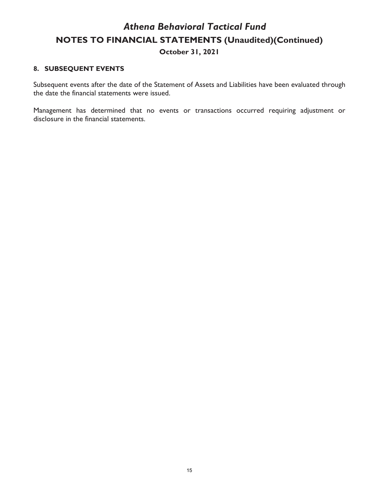#### **8. SUBSEQUENT EVENTS**

Subsequent events after the date of the Statement of Assets and Liabilities have been evaluated through the date the financial statements were issued.

Management has determined that no events or transactions occurred requiring adjustment or disclosure in the financial statements.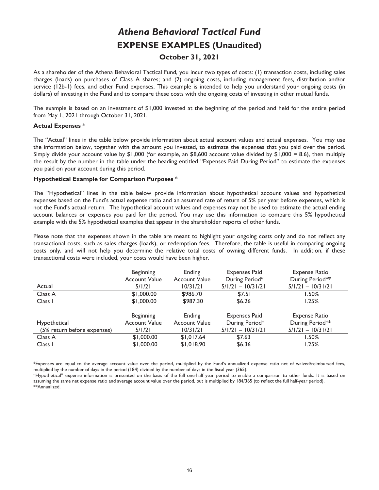# *Athena Behavioral Tactical Fund*  **EXPENSE EXAMPLES (Unaudited)**

#### **October 31, 2021**

As a shareholder of the Athena Behavioral Tactical Fund, you incur two types of costs: (1) transaction costs, including sales charges (loads) on purchases of Class A shares; and (2) ongoing costs, including management fees, distribution and/or service (12b-1) fees, and other Fund expenses. This example is intended to help you understand your ongoing costs (in dollars) of investing in the Fund and to compare these costs with the ongoing costs of investing in other mutual funds.

The example is based on an investment of \$1,000 invested at the beginning of the period and held for the entire period from May 1, 2021 through October 31, 2021.

#### **Actual Expenses** \*

The "Actual" lines in the table below provide information about actual account values and actual expenses. You may use the information below, together with the amount you invested, to estimate the expenses that you paid over the period. Simply divide your account value by  $$1,000$  (for example, an \$8,600 account value divided by  $$1,000 = 8.6$ ), then multiply the result by the number in the table under the heading entitled "Expenses Paid During Period" to estimate the expenses you paid on your account during this period.

#### **Hypothetical Example for Comparison Purposes** \*

The "Hypothetical" lines in the table below provide information about hypothetical account values and hypothetical expenses based on the Fund's actual expense ratio and an assumed rate of return of 5% per year before expenses, which is not the Fund's actual return. The hypothetical account values and expenses may not be used to estimate the actual ending account balances or expenses you paid for the period. You may use this information to compare this 5% hypothetical example with the 5% hypothetical examples that appear in the shareholder reports of other funds.

Please note that the expenses shown in the table are meant to highlight your ongoing costs only and do not reflect any transactional costs, such as sales charges (loads), or redemption fees. Therefore, the table is useful in comparing ongoing costs only, and will not help you determine the relative total costs of owning different funds. In addition, if these transactional costs were included, your costs would have been higher.

|                             | <b>Beginning</b><br><b>Account Value</b> | Ending<br><b>Account Value</b> | <b>Expenses Paid</b><br>During Period* | <b>Expense Ratio</b><br>During Period** |
|-----------------------------|------------------------------------------|--------------------------------|----------------------------------------|-----------------------------------------|
| Actual                      | 5/1/21                                   | 10/31/21                       | $5/1/21 - 10/31/21$                    | $5/1/21 - 10/31/21$                     |
| Class A                     | \$1,000.00                               | \$986.70                       | \$7.51                                 | l.50%                                   |
| Class I                     | \$1,000.00                               | \$987.30                       | \$6.26                                 | $1.25\%$                                |
|                             |                                          |                                |                                        |                                         |
|                             | <b>Beginning</b>                         | Ending                         | <b>Expenses Paid</b>                   | Expense Ratio                           |
| Hypothetical                | <b>Account Value</b>                     | <b>Account Value</b>           | During Period*                         | During Period**                         |
| (5% return before expenses) | 5/1/21                                   | 10/31/21                       | $5/1/21 - 10/31/21$                    | $5/1/21 - 10/31/21$                     |
| Class A                     | \$1,000.00                               | \$1.017.64                     | \$7.63                                 | I.50%                                   |
| Class I                     | \$1,000.00                               | \$1,018.90                     | \$6.36                                 | 1.25%                                   |
|                             |                                          |                                |                                        |                                         |

\*Expenses are equal to the average account value over the period, multiplied by the Fund's annualized expense ratio net of waived/reimbursed fees, multiplied by the number of days in the period (184) divided by the number of days in the fiscal year (365).

"Hypothetical" expense information is presented on the basis of the full one-half year period to enable a comparison to other funds. It is based on assuming the same net expense ratio and average account value over the period, but is multiplied by 184/365 (to reflect the full half-year period). \*\*Annualized.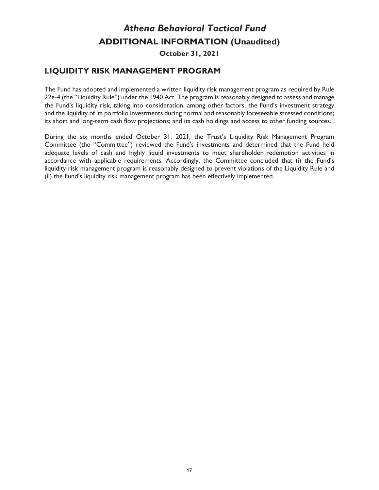# *Athena Behavioral Tactical Fund*  **ADDITIONAL INFORMATION (Unaudited)**

**October 31, 2021** 

### **LIQUIDITY RISK MANAGEMENT PROGRAM**

The Fund has adopted and implemented a written liquidity risk management program as required by Rule 22e-4 (the "Liquidity Rule") under the 1940 Act. The program is reasonably designed to assess and manage the Fund's liquidity risk, taking into consideration, among other factors, the Fund's investment strategy and the liquidity of its portfolio investments during normal and reasonably foreseeable stressed conditions; its short and long-term cash flow projections; and its cash holdings and access to other funding sources.

During the six months ended October 31, 2021, the Trust's Liquidity Risk Management Program Committee (the "Committee") reviewed the Fund's investments and determined that the Fund held adequate levels of cash and highly liquid investments to meet shareholder redemption activities in accordance with applicable requirements. Accordingly, the Committee concluded that (i) the Fund's liquidity risk management program is reasonably designed to prevent violations of the Liquidity Rule and (ii) the Fund's liquidity risk management program has been effectively implemented.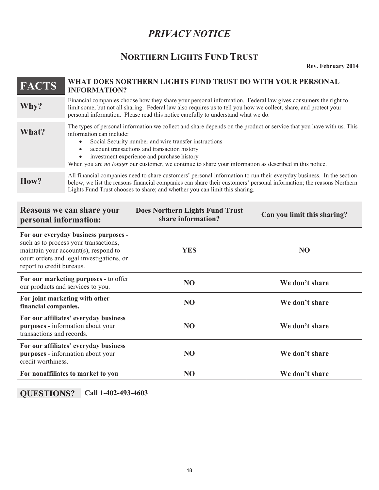### *PRIVACY NOTICE*

### **NORTHERN LIGHTS FUND TRUST**

**Rev. February 2014** 

### **FACTS** WHAT DOES NORTHERN LIGHTS FUND TRUST DO WITH YOUR PERSONAL **INFORMATION? Why?** Financial companies choose how they share your personal information. Federal law gives consumers the right to limit some, but not all sharing. Federal law also requires us to tell you how we collect, share, and prot limit some, but not all sharing. Federal law also requires us to tell you how we collect, share, and protect your personal information. Please read this notice carefully to understand what we do. The types of personal information we collect and share depends on the product or service that you have with us. This information can include: information can include: • Social Security number and wire transfer instructions • account transactions and transaction history investment experience and purchase history When you are *no longer* our customer, we continue to share your information as described in this notice.

All financial companies need to share customers' personal information to run their everyday business. In the section<br>**How?** below we list the reasons financial companies can share their customers' personal information: the below, we list the reasons financial companies can share their customers' personal information; the reasons Northern Lights Fund Trust chooses to share; and whether you can limit this sharing.

| <b>Reasons we can share your</b><br>personal information:                                                                                                                                       | <b>Does Northern Lights Fund Trust</b><br>share information? | Can you limit this sharing? |
|-------------------------------------------------------------------------------------------------------------------------------------------------------------------------------------------------|--------------------------------------------------------------|-----------------------------|
| For our everyday business purposes -<br>such as to process your transactions,<br>maintain your account(s), respond to<br>court orders and legal investigations, or<br>report to credit bureaus. | <b>YES</b>                                                   | N <sub>O</sub>              |
| For our marketing purposes - to offer<br>our products and services to you.                                                                                                                      | <b>NO</b>                                                    | We don't share              |
| For joint marketing with other<br>financial companies.                                                                                                                                          | <b>NO</b>                                                    | We don't share              |
| For our affiliates' everyday business<br>purposes - information about your<br>transactions and records.                                                                                         | <b>NO</b>                                                    | We don't share              |
| For our affiliates' everyday business<br>purposes - information about your<br>credit worthiness.                                                                                                | <b>NO</b>                                                    | We don't share              |
| For nonaffiliates to market to you                                                                                                                                                              | NO                                                           | We don't share              |

**QUESTIONS? Call 1-402-493-4603**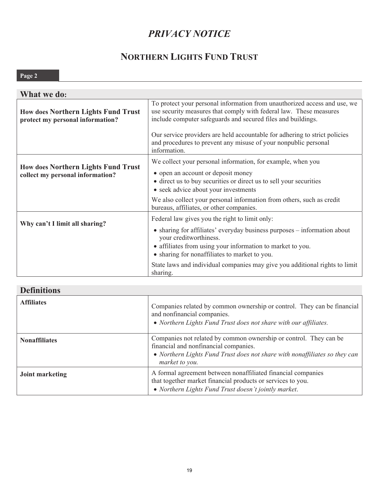# *PRIVACY NOTICE*

# **NORTHERN LIGHTS FUND TRUST**

### **Page 2**

| What we do:                                                                    |                                                                                                                                                                                                                                                                     |
|--------------------------------------------------------------------------------|---------------------------------------------------------------------------------------------------------------------------------------------------------------------------------------------------------------------------------------------------------------------|
| <b>How does Northern Lights Fund Trust</b><br>protect my personal information? | To protect your personal information from unauthorized access and use, we<br>use security measures that comply with federal law. These measures<br>include computer safeguards and secured files and buildings.                                                     |
|                                                                                | Our service providers are held accountable for adhering to strict policies<br>and procedures to prevent any misuse of your nonpublic personal<br>information.                                                                                                       |
| <b>How does Northern Lights Fund Trust</b><br>collect my personal information? | We collect your personal information, for example, when you<br>• open an account or deposit money<br>• direct us to buy securities or direct us to sell your securities<br>• seek advice about your investments                                                     |
|                                                                                | We also collect your personal information from others, such as credit<br>bureaus, affiliates, or other companies.                                                                                                                                                   |
| Why can't I limit all sharing?                                                 | Federal law gives you the right to limit only:<br>• sharing for affiliates' everyday business purposes – information about<br>your creditworthiness.<br>• affiliates from using your information to market to you.<br>• sharing for nonaffiliates to market to you. |
|                                                                                | State laws and individual companies may give you additional rights to limit<br>sharing.                                                                                                                                                                             |

### **Definitions**

| <b>Affiliates</b>    | Companies related by common ownership or control. They can be financial<br>and nonfinancial companies.<br>• Northern Lights Fund Trust does not share with our affiliates.                                 |
|----------------------|------------------------------------------------------------------------------------------------------------------------------------------------------------------------------------------------------------|
| <b>Nonaffiliates</b> | Companies not related by common ownership or control. They can be<br>financial and nonfinancial companies.<br>• Northern Lights Fund Trust does not share with nonaffiliates so they can<br>market to you. |
| Joint marketing      | A formal agreement between nonaffiliated financial companies<br>that together market financial products or services to you.<br>• Northern Lights Fund Trust doesn't jointly market.                        |